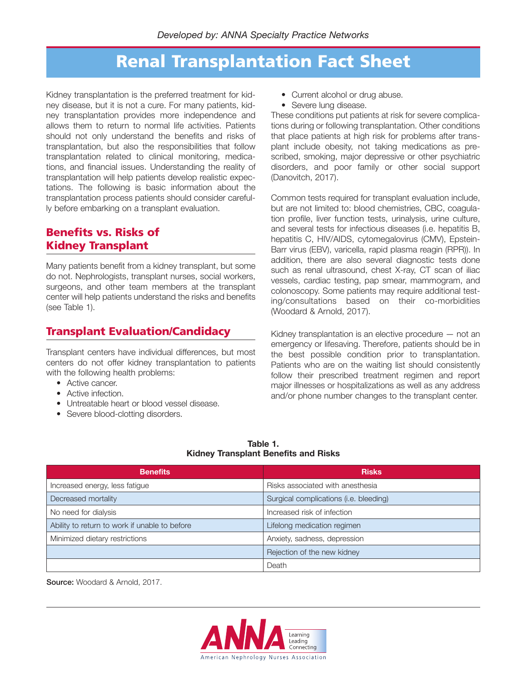### **Renal Transplantation Fact Sheet**

Kidney transplantation is the preferred treatment for kidney disease, but it is not a cure. For many patients, kidney transplantation provides more independence and allows them to return to normal life activities. Patients should not only understand the benefits and risks of transplantation, but also the responsibilities that follow transplantation related to clinical monitoring, medications, and financial issues. Understanding the reality of transplantation will help patients develop realistic expectations. The following is basic information about the transplantation process patients should consider carefully before embarking on a transplant evaluation.

### **Benefits vs. Risks of Kidney Transplant**

Many patients benefit from a kidney transplant, but some do not. Nephrologists, transplant nurses, social workers, surgeons, and other team members at the transplant center will help patients understand the risks and benefits (see Table 1).

### **Transplant Evaluation/Candidacy**

Transplant centers have individual differences, but most centers do not offer kidney transplantation to patients with the following health problems:

- Active cancer.
- Active infection.
- Untreatable heart or blood vessel disease.
- Severe blood-clotting disorders.
- Current alcohol or drug abuse.
- Severe lung disease.

These conditions put patients at risk for severe complications during or following transplantation. Other conditions that place patients at high risk for problems after transplant include obesity, not taking medications as prescribed, smoking, major depressive or other psychiatric disorders, and poor family or other social support (Danovitch, 2017).

Common tests required for transplant evaluation include, but are not limited to: blood chemistries, CBC, coagulation profile, liver function tests, urinalysis, urine culture, and several tests for infectious diseases (i.e. hepatitis B, hepatitis C, HIV/AIDS, cytomegalovirus (CMV), Epstein-Barr virus (EBV), varicella, rapid plasma reagin (RPR)). In addition, there are also several diagnostic tests done such as renal ultrasound, chest X-ray, CT scan of iliac vessels, cardiac testing, pap smear, mammogram, and colonoscopy. Some patients may require additional testing/consultations based on their co-morbidities (Woodard & Arnold, 2017).

Kidney transplantation is an elective procedure — not an emergency or lifesaving. Therefore, patients should be in the best possible condition prior to transplantation. Patients who are on the waiting list should consistently follow their prescribed treatment regimen and report major illnesses or hospitalizations as well as any address and/or phone number changes to the transplant center.

| Table 1. |                                             |  |  |  |
|----------|---------------------------------------------|--|--|--|
|          | <b>Kidney Transplant Benefits and Risks</b> |  |  |  |

| <b>Benefits</b>                               | <b>Risks</b>                           |  |
|-----------------------------------------------|----------------------------------------|--|
| Increased energy, less fatigue                | Risks associated with anesthesia       |  |
| Decreased mortality                           | Surgical complications (i.e. bleeding) |  |
| No need for dialysis                          | Increased risk of infection            |  |
| Ability to return to work if unable to before | Lifelong medication regimen            |  |
| Minimized dietary restrictions                | Anxiety, sadness, depression           |  |
|                                               | Rejection of the new kidney            |  |
|                                               | Death                                  |  |

**Source:** Woodard & Arnold, 2017.

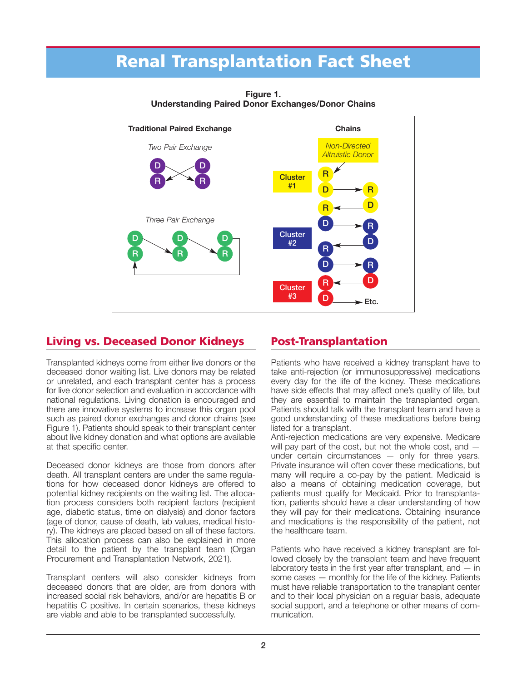## **Renal Transplantation Fact Sheet**



**Figure 1. Understanding Paired Donor Exchanges/Donor Chains**

### **Living vs. Deceased Donor Kidneys**

Transplanted kidneys come from either live donors or the deceased donor waiting list. Live donors may be related or unrelated, and each transplant center has a process for live donor selection and evaluation in accordance with national regulations. Living donation is encouraged and there are innovative systems to increase this organ pool such as paired donor exchanges and donor chains (see Figure 1). Patients should speak to their transplant center about live kidney donation and what options are available at that specific center.

Deceased donor kidneys are those from donors after death. All transplant centers are under the same regulations for how deceased donor kidneys are offered to potential kidney recipients on the waiting list. The allocation process considers both recipient factors (recipient age, diabetic status, time on dialysis) and donor factors (age of donor, cause of death, lab values, medical history). The kidneys are placed based on all of these factors. This allocation process can also be explained in more detail to the patient by the transplant team (Organ Procurement and Transplantation Network, 2021).

Transplant centers will also consider kidneys from deceased donors that are older, are from donors with increased social risk behaviors, and/or are hepatitis B or hepatitis C positive. In certain scenarios, these kidneys are viable and able to be transplanted successfully.

### **Post-Transplantation**

Patients who have received a kidney transplant have to take anti-rejection (or immunosuppressive) medications every day for the life of the kidney. These medications have side effects that may affect one's quality of life, but they are essential to maintain the transplanted organ. Patients should talk with the transplant team and have a good understanding of these medications before being listed for a transplant.

Anti-rejection medications are very expensive. Medicare will pay part of the cost, but not the whole cost, and  $$ under certain circumstances — only for three years. Private insurance will often cover these medications, but many will require a co-pay by the patient. Medicaid is also a means of obtaining medication coverage, but patients must qualify for Medicaid. Prior to transplantation, patients should have a clear understanding of how they will pay for their medications. Obtaining insurance and medications is the responsibility of the patient, not the healthcare team.

Patients who have received a kidney transplant are followed closely by the transplant team and have frequent laboratory tests in the first year after transplant, and  $-$  in some cases — monthly for the life of the kidney. Patients must have reliable transportation to the transplant center and to their local physician on a regular basis, adequate social support, and a telephone or other means of communication.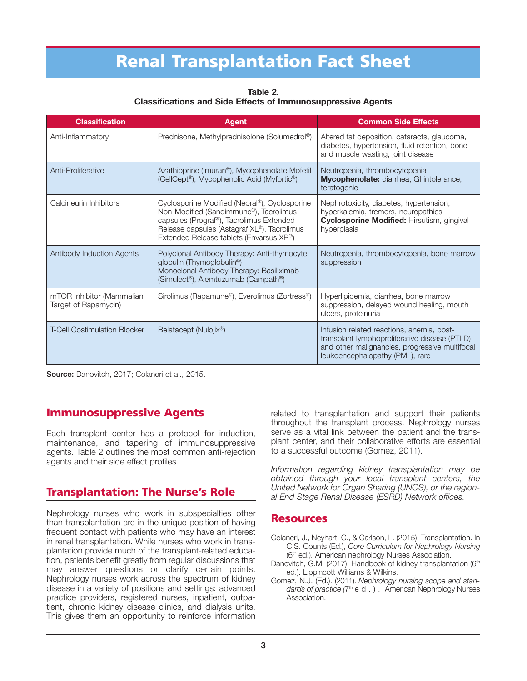# **Renal Transplantation Fact Sheet**

**Table 2. Classifications and Side Effects of Immunosuppressive Agents** 

| <b>Classification</b>                             | <b>Agent</b>                                                                                                                                                                                                                  | <b>Common Side Effects</b>                                                                                                                                                      |
|---------------------------------------------------|-------------------------------------------------------------------------------------------------------------------------------------------------------------------------------------------------------------------------------|---------------------------------------------------------------------------------------------------------------------------------------------------------------------------------|
| Anti-Inflammatory                                 | Prednisone, Methylprednisolone (Solumedrol®)                                                                                                                                                                                  | Altered fat deposition, cataracts, glaucoma,<br>diabetes, hypertension, fluid retention, bone<br>and muscle wasting, joint disease                                              |
| Anti-Proliferative                                | Azathioprine (Imuran®), Mycophenolate Mofetil<br>(CellCept®), Mycophenolic Acid (Myfortic®)                                                                                                                                   | Neutropenia, thrombocytopenia<br>Mycophenolate: diarrhea, GI intolerance,<br>teratogenic                                                                                        |
| Calcineurin Inhibitors                            | Cyclosporine Modified (Neoral®), Cyclosporine<br>Non-Modified (Sandimmune®), Tacrolimus<br>capsules (Prograf®), Tacrolimus Extended<br>Release capsules (Astagraf XL®), Tacrolimus<br>Extended Release tablets (Envarsus XR®) | Nephrotoxicity, diabetes, hypertension,<br>hyperkalemia, tremors, neuropathies<br>Cyclosporine Modified: Hirsutism, gingival<br>hyperplasia                                     |
| Antibody Induction Agents                         | Polyclonal Antibody Therapy: Anti-thymocyte<br>globulin (Thymoglobulin®)<br>Monoclonal Antibody Therapy: Basiliximab<br>(Simulect®), Alemtuzumab (Campath®)                                                                   | Neutropenia, thrombocytopenia, bone marrow<br>suppression                                                                                                                       |
| mTOR Inhibitor (Mammalian<br>Target of Rapamycin) | Sirolimus (Rapamune®), Everolimus (Zortress®)                                                                                                                                                                                 | Hyperlipidemia, diarrhea, bone marrow<br>suppression, delayed wound healing, mouth<br>ulcers, proteinuria                                                                       |
| <b>T-Cell Costimulation Blocker</b>               | Belatacept (Nulojix®)                                                                                                                                                                                                         | Infusion related reactions, anemia, post-<br>transplant lymphoproliferative disease (PTLD)<br>and other malignancies, progressive multifocal<br>leukoencephalopathy (PML), rare |

**Source:** Danovitch, 2017; Colaneri et al., 2015.

### **Immunosuppressive Agents**

Each transplant center has a protocol for induction, maintenance, and tapering of immunosuppressive agents. Table 2 outlines the most common anti-rejection agents and their side effect profiles.

### **Transplantation: The Nurse's Role**

Nephrology nurses who work in subspecialties other than transplantation are in the unique position of having frequent contact with patients who may have an interest in renal transplantation. While nurses who work in transplantation provide much of the transplant-related education, patients benefit greatly from regular discussions that may answer questions or clarify certain points. Nephrology nurses work across the spectrum of kidney disease in a variety of positions and settings: advanced practice providers, registered nurses, inpatient, outpatient, chronic kidney disease clinics, and dialysis units. This gives them an opportunity to reinforce information

related to transplantation and support their patients throughout the transplant process. Nephrology nurses serve as a vital link between the patient and the transplant center, and their collaborative efforts are essential to a successful outcome (Gomez, 2011).

*Information regarding kidney transplantation may be obtained through your local transplant centers, the United Network for Organ Sharing (UNOS), or the regional End Stage Renal Disease (ESRD) Network offices.*

#### **Resources**

Colaneri, J., Neyhart, C., & Carlson, L. (2015). Transplantation. In C.S. Counts (Ed.), *Core Curriculum for Nephrology Nursing*  (6<sup>th</sup> ed.). American nephrology Nurses Association.

- Danovitch, G.M. (2017). Handbook of kidney transplantation (6th ed.). Lippincott Williams & Wilkins.
- Gomez, N.J. (Ed.). (2011). *Nephrology nursing scope and standards of practice* (7<sup>th</sup> e d.). American Nephrology Nurses **Association**